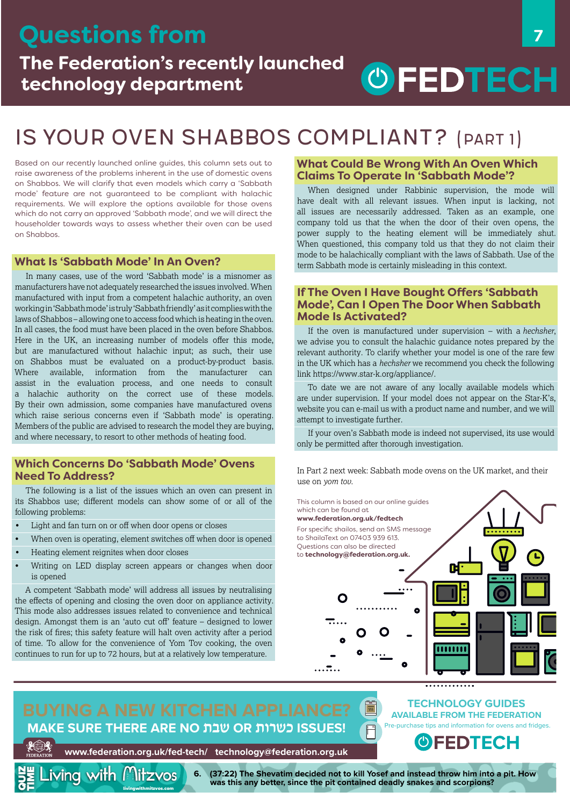

### Is your oven Shabbos compliant? (Part 1)

Based on our recently launched online guides, this column sets out to raise awareness of the problems inherent in the use of domestic ovens on Shabbos. We will clarify that even models which carry a 'Sabbath mode' feature are not guaranteed to be compliant with halachic requirements. We will explore the options available for those ovens which do not carry an approved 'Sabbath mode', and we will direct the householder towards ways to assess whether their oven can be used on Shabbos.

#### **What Is 'Sabbath Mode' In An Oven?**

In many cases, use of the word 'Sabbath mode' is a misnomer as manufacturers have not adequately researched the issues involved. When manufactured with input from a competent halachic authority, an oven working in 'Sabbath mode' is truly 'Sabbath friendly' as it complies with the laws of Shabbos – allowing one to access food which is heating in the oven. In all cases, the food must have been placed in the oven before Shabbos. Here in the UK, an increasing number of models offer this mode, but are manufactured without halachic input; as such, their use on Shabbos must be evaluated on a product-by-product basis. Where available, information from the manufacturer can assist in the evaluation process, and one needs to consult a halachic authority on the correct use of these models. By their own admission, some companies have manufactured ovens which raise serious concerns even if 'Sabbath mode' is operating. Members of the public are advised to research the model they are buying, and where necessary, to resort to other methods of heating food.

#### **Which Concerns Do 'Sabbath Mode' Ovens Need To Address?**

The following is a list of the issues which an oven can present in its Shabbos use; different models can show some of or all of the following problems:

- Light and fan turn on or off when door opens or closes
- When oven is operating, element switches off when door is opened
- Heating element reignites when door closes

<u>iving</u> with *l* ?litzvos

Writing on LED display screen appears or changes when door is opened

A competent 'Sabbath mode' will address all issues by neutralising the effects of opening and closing the oven door on appliance activity. This mode also addresses issues related to convenience and technical design. Amongst them is an 'auto cut off' feature – designed to lower the risk of fires; this safety feature will halt oven activity after a period of time. To allow for the convenience of Yom Tov cooking, the oven continues to run for up to 72 hours, but at a relatively low temperature.

#### **What Could Be Wrong With An Oven Which Claims To Operate In 'Sabbath Mode'?**

When designed under Rabbinic supervision, the mode will have dealt with all relevant issues. When input is lacking, not all issues are necessarily addressed. Taken as an example, one company told us that the when the door of their oven opens, the power supply to the heating element will be immediately shut. When questioned, this company told us that they do not claim their mode to be halachically compliant with the laws of Sabbath. Use of the term Sabbath mode is certainly misleading in this context.

#### **If The Oven I Have Bought Offers 'Sabbath Mode', Can I Open The Door When Sabbath Mode Is Activated?**

If the oven is manufactured under supervision – with a *hechsher*, we advise you to consult the halachic guidance notes prepared by the relevant authority. To clarify whether your model is one of the rare few in the UK which has a *hechsher* we recommend you check the following link <https://www.star-k.org/appliance/>.

To date we are not aware of any locally available models which are under supervision. If your model does not appear on the Star-K's, website you can e-mail us with a product name and number, and we will attempt to investigate further.

If your oven's Sabbath mode is indeed not supervised, its use would only be permitted after thorough investigation.

In Part 2 next week: Sabbath mode ovens on the UK market, and their use on *yom tov.*

This column is based on our online guides which can be found at





# **MAKE SURE THERE ARE NO שבת OR כשרות ISSUES!**

**TECHNOLOGY GUIDES AVAILABLE FROM THE FEDERATION** Pre-purchase tips and information for ovens and fridges.

. . . . . . . . . . . . .

OIEDIECH

**www.federation.org.uk/fed-tech/ technology@federation.org.uk**

**6. (37:22) The Shevatim decided not to kill Yosef and instead throw him into a pit. How was this any better, since the pit contained deadly snakes and scorpions?**

 $\Box$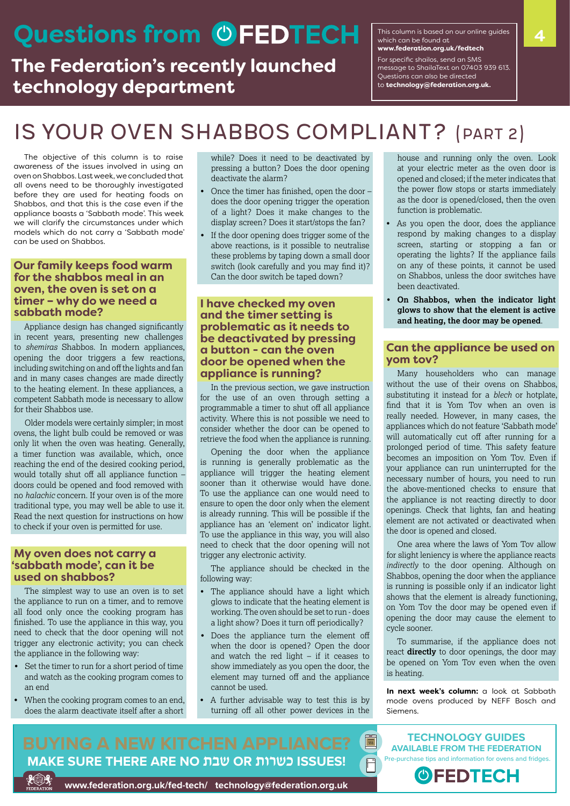# **Questions from C**FEDTECH **Example found at the guides** 4

### **The Federation's recently launched technology department**

This column is based on our online guides which can be found at **[www.federation.org.uk/fedtech](http://www.federation.org.uk/fedtech)** For specific shailos, send an SMS message to ShailaText on 07403 939 613. Questions can also be directed to **[technology@federation.org.uk](mailto:technology@federation.org.uk).**

# Is your oven Shabbos compliant? (Part 2)

The objective of this column is to raise awareness of the issues involved in using an oven on Shabbos. Last week, we concluded that all ovens need to be thoroughly investigated before they are used for heating foods on Shabbos, and that this is the case even if the appliance boasts a 'Sabbath mode'. This week we will clarify the circumstances under which models which do not carry a 'Sabbath mode' can be used on Shabbos.

#### **Our family keeps food warm for the shabbos meal in an oven, the oven is set on a timer – why do we need a sabbath mode?**

Appliance design has changed significantly in recent years, presenting new challenges to *shemiras* Shabbos. In modern appliances, opening the door triggers a few reactions, including switching on and off the lights and fan and in many cases changes are made directly to the heating element. In these appliances, a competent Sabbath mode is necessary to allow for their Shabbos use.

Older models were certainly simpler; in most ovens, the light bulb could be removed or was only lit when the oven was heating. Generally, a timer function was available, which, once reaching the end of the desired cooking period, would totally shut off all appliance function – doors could be opened and food removed with no *halachic* concern. If your oven is of the more traditional type, you may well be able to use it. Read the next question for instructions on how to check if your oven is permitted for use.

#### **My oven does not carry a 'sabbath mode', can it be used on shabbos?**

The simplest way to use an oven is to set the appliance to run on a timer, and to remove all food only once the cooking program has finished. To use the appliance in this way, you need to check that the door opening will not trigger any electronic activity; you can check the appliance in the following way:

- Set the timer to run for a short period of time and watch as the cooking program comes to an end
- When the cooking program comes to an end, does the alarm deactivate itself after a short

while? Does it need to be deactivated by pressing a button? Does the door opening deactivate the alarm?

- Once the timer has finished, open the door does the door opening trigger the operation of a light? Does it make changes to the display screen? Does it start/stops the fan?
- If the door opening does trigger some of the above reactions, is it possible to neutralise these problems by taping down a small door switch (look carefully and you may find it)? Can the door switch be taped down?

#### **I have checked my oven and the timer setting is problematic as it needs to be deactivated by pressing a button - can the oven door be opened when the appliance is running?**

In the previous section, we gave instruction for the use of an oven through setting a programmable a timer to shut off all appliance activity. Where this is not possible we need to consider whether the door can be opened to retrieve the food when the appliance is running.

Opening the door when the appliance is running is generally problematic as the appliance will trigger the heating element sooner than it otherwise would have done. To use the appliance can one would need to ensure to open the door only when the element is already running. This will be possible if the appliance has an 'element on' indicator light. To use the appliance in this way, you will also need to check that the door opening will not trigger any electronic activity.

The appliance should be checked in the following way:

- The appliance should have a light which glows to indicate that the heating element is working. The oven should be set to run - does a light show? Does it turn off periodically?
- Does the appliance turn the element off when the door is opened? Open the door and watch the red light  $-$  if it ceases to show immediately as you open the door, the element may turned off and the appliance cannot be used.
- A further advisable way to test this is by turning off all other power devices in the

 $\sqrt{\frac{1}{3N}}$ 

 $\overline{\mathbb{H}}$ 

house and running only the oven. Look at your electric meter as the oven door is opened and closed; if the meter indicates that the power flow stops or starts immediately as the door is opened/closed, then the oven function is problematic.

- As you open the door, does the appliance respond by making changes to a display screen, starting or stopping a fan or operating the lights? If the appliance fails on any of these points, it cannot be used on Shabbos, unless the door switches have been deactivated.
- **On Shabbos, when the indicator light glows to show that the element is active and heating, the door may be opened**.

#### **Can the appliance be used on yom tov?**

Many householders who can manage without the use of their ovens on Shabbos, substituting it instead for a *blech* or hotplate, find that it is Yom Tov when an oven is really needed. However, in many cases, the appliances which do not feature 'Sabbath mode' will automatically cut off after running for a prolonged period of time. This safety feature becomes an imposition on Yom Tov. Even if your appliance can run uninterrupted for the necessary number of hours, you need to run the above-mentioned checks to ensure that the appliance is not reacting directly to door openings. Check that lights, fan and heating element are not activated or deactivated when the door is opened and closed.

One area where the laws of Yom Tov allow for slight leniency is where the appliance reacts *indirectly* to the door opening. Although on Shabbos, opening the door when the appliance is running is possible only if an indicator light shows that the element is already functioning, on Yom Tov the door may be opened even if opening the door may cause the element to cycle sooner.

To summarise, if the appliance does not react **directly** to door openings, the door may be opened on Yom Tov even when the oven is heating.

**In next week's column:** a look at Sabbath mode ovens produced by NEFF Bosch and Siemens.

# **MAKE SURE THERE ARE NO שבת OR כשרות ISSUES!**

**TECHNOLOGY GUIDES AVAILABLE FROM THE FEDERATION** Pre-purchase tips and information for ovens and fridges.



**www.federation.org.uk/fed-tech/ technology@federation.org.uk**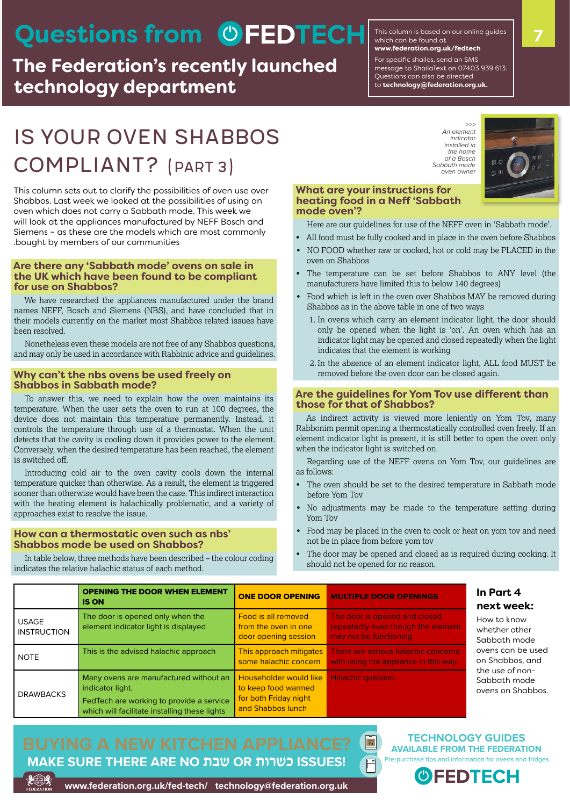# Questions from **COFEDTECH**

**The Federation's recently launched technology department**

This column is based on our online guides which can be found at **[www.federation.org.uk/fedtech](http://www.federation.org.uk/fedtech)**

For specific shailos, send an SMS message to ShailaText on 07403 939 613. Questions can also be directed to **[technology@federation.org.uk.](mailto:technology@federation.org.uk)**

## Is your oven Shabbos compliant? (Part 3)

This column sets out to clarify the possibilities of oven use over Shabbos. Last week we looked at the possibilities of using an oven which does not carry a Sabbath mode. This week we will look at the appliances manufactured by NEFF Bosch and Siemens – as these are the models which are most commonly .bought by members of our communities

#### **Are there any 'Sabbath mode' ovens on sale in the UK which have been found to be compliant for use on Shabbos?**

We have researched the appliances manufactured under the brand names NEFF, Bosch and Siemens (NBS), and have concluded that in their models currently on the market most Shabbos related issues have been resolved.

Nonetheless even these models are not free of any Shabbos questions, and may only be used in accordance with Rabbinic advice and guidelines.

#### **Why can't the nbs ovens be used freely on Shabbos in Sabbath mode?**

To answer this, we need to explain how the oven maintains its temperature. When the user sets the oven to run at 100 degrees, the device does not maintain this temperature permanently. Instead, it controls the temperature through use of a thermostat. When the unit detects that the cavity is cooling down it provides power to the element. Conversely, when the desired temperature has been reached, the element is switched off.

Introducing cold air to the oven cavity cools down the internal temperature quicker than otherwise. As a result, the element is triggered sooner than otherwise would have been the case. This indirect interaction with the heating element is halachically problematic, and a variety of approaches exist to resolve the issue.

#### **How can a thermostatic oven such as nbs' Shabbos mode be used on Shabbos?**

In table below, three methods have been described – the colour coding indicates the relative halachic status of each method.

*>>> An element indicator installed in the home of a Bosch Sabbath mode oven owner*



#### **What are your instructions for heating food in a Neff 'Sabbath mode oven'?**

Here are our guidelines for use of the NEFF oven in 'Sabbath mode'.

- All food must be fully cooked and in place in the oven before Shabbos
- NO FOOD whether raw or cooked, hot or cold may be PLACED in the oven on Shabbos
- The temperature can be set before Shabbos to ANY level (the manufacturers have limited this to below 140 degrees)
- Food which is left in the oven over Shabbos MAY be removed during Shabbos as in the above table in one of two ways
	- 1. In ovens which carry an element indicator light, the door should only be opened when the light is 'on'. An oven which has an indicator light may be opened and closed repeatedly when the light indicates that the element is working
	- 2. In the absence of an element indicator light, ALL food MUST be removed before the oven door can be closed again.

#### **Are the guidelines for Yom Tov use different than those for that of Shabbos?**

As indirect activity is viewed more leniently on Yom Tov, many Rabbonim permit opening a thermostatically controlled oven freely. If an element indicator light is present, it is still better to open the oven only when the indicator light is switched on.

Regarding use of the NEFF ovens on Yom Tov, our guidelines are as follows:

- The oven should be set to the desired temperature in Sabbath mode before Yom Tov
- No adjustments may be made to the temperature setting during Yom Tov
- Food may be placed in the oven to cook or heat on yom tov and need not be in place from before yom tov
- The door may be opened and closed as is required during cooking. It should not be opened for no reason.

 $\frac{1}{35}$ 

|                                    | <b>OPENING THE DOOR WHEN ELEMENT</b><br><b>IS ON</b>                                                                                                    | <b>ONE DOOR OPENING</b>                                                                     | <b>MULTIPLE DOOR OPENINGS</b>                                                                 | In Part 4<br>next week:                                                                                                                      |
|------------------------------------|---------------------------------------------------------------------------------------------------------------------------------------------------------|---------------------------------------------------------------------------------------------|-----------------------------------------------------------------------------------------------|----------------------------------------------------------------------------------------------------------------------------------------------|
| <b>USAGE</b><br><b>INSTRUCTION</b> | The door is opened only when the<br>element indicator light is displayed                                                                                | Food is all removed<br>from the oven in one<br>door opening session                         | The door is opened and closed<br>repeatedly even though the element<br>may not be functioning | How to know<br>whether other<br>Sabbath mode<br>ovens can be used<br>on Shabbos, and<br>the use of non-<br>Sabbath mode<br>ovens on Shabbos. |
| <b>NOTE</b>                        | This is the advised halachic approach                                                                                                                   | This approach mitigates<br>some halachic concern                                            | There are serious halachic concerns<br>with using the appliance in this way.                  |                                                                                                                                              |
| <b>DRAWBACKS</b>                   | Many ovens are manufactured without an<br>indicator light.<br>FedTech are working to provide a service<br>which will facilitate installing these lights | Householder would like<br>to keep food warmed<br>for both Friday night<br>and Shabbos lunch | <b>Halachic question</b>                                                                      |                                                                                                                                              |

# **MAKE SURE THERE ARE NO שבת OR כשרות ISSUES!**

**TECHNOLOGY GUIDES AVAILABLE FROM THE FEDERATION** Pre-purchase tips and information for ovens and fridges.